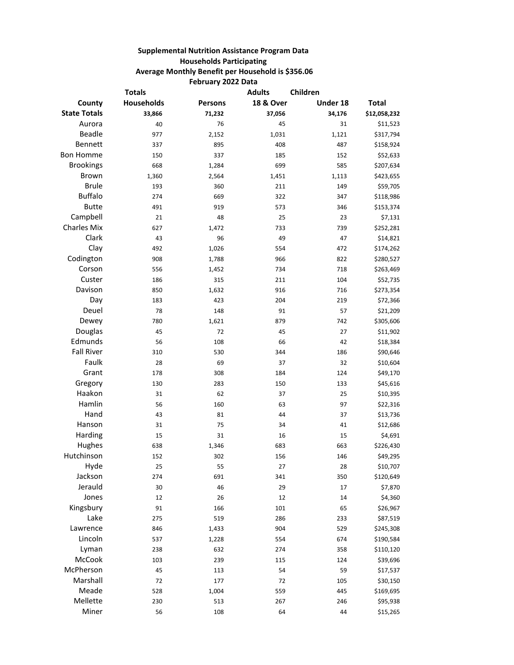## **Supplemental Nutrition Assistance Program Data Households Participating Average Monthly Benefit per Household is \$356.06 February 2022 Data**

|                     | <b>Totals</b> |         | <b>Adults</b>        | Children |              |
|---------------------|---------------|---------|----------------------|----------|--------------|
| County              | Households    | Persons | <b>18 &amp; Over</b> | Under 18 | <b>Total</b> |
| <b>State Totals</b> | 33,866        | 71,232  | 37,056               | 34,176   | \$12,058,232 |
| Aurora              | 40            | 76      | 45                   | 31       | \$11,523     |
| <b>Beadle</b>       | 977           | 2,152   | 1,031                | 1,121    | \$317,794    |
| Bennett             | 337           | 895     | 408                  | 487      | \$158,924    |
| <b>Bon Homme</b>    | 150           | 337     | 185                  | 152      | \$52,633     |
| <b>Brookings</b>    | 668           | 1,284   | 699                  | 585      | \$207,634    |
| Brown               | 1,360         | 2,564   | 1,451                | 1,113    | \$423,655    |
| <b>Brule</b>        | 193           | 360     | 211                  | 149      | \$59,705     |
| <b>Buffalo</b>      | 274           | 669     | 322                  | 347      | \$118,986    |
| <b>Butte</b>        | 491           | 919     | 573                  | 346      | \$153,374    |
| Campbell            | 21            | 48      | 25                   | 23       | \$7,131      |
| <b>Charles Mix</b>  | 627           | 1,472   | 733                  | 739      | \$252,281    |
| Clark               | 43            | 96      | 49                   | 47       | \$14,821     |
| Clay                | 492           | 1,026   | 554                  | 472      | \$174,262    |
| Codington           | 908           | 1,788   | 966                  | 822      | \$280,527    |
| Corson              | 556           | 1,452   | 734                  | 718      | \$263,469    |
| Custer              | 186           | 315     | 211                  | 104      | \$52,735     |
| Davison             | 850           | 1,632   | 916                  | 716      | \$273,354    |
| Day                 | 183           | 423     | 204                  | 219      | \$72,366     |
| Deuel               | 78            | 148     | 91                   | 57       | \$21,209     |
| Dewey               | 780           | 1,621   | 879                  | 742      | \$305,606    |
| Douglas             | 45            | 72      | 45                   | 27       | \$11,902     |
| Edmunds             | 56            | 108     | 66                   | 42       | \$18,384     |
| <b>Fall River</b>   | 310           | 530     | 344                  | 186      | \$90,646     |
| Faulk               | 28            | 69      | 37                   | 32       | \$10,604     |
| Grant               | 178           | 308     | 184                  | 124      | \$49,170     |
| Gregory             | 130           | 283     | 150                  | 133      | \$45,616     |
| Haakon              | 31            | 62      | 37                   | 25       | \$10,395     |
| Hamlin              | 56            | 160     | 63                   | 97       | \$22,316     |
| Hand                | 43            | 81      | 44                   | 37       | \$13,736     |
| Hanson              | 31            | 75      | 34                   | 41       | \$12,686     |
| Harding             | 15            | 31      | 16                   | 15       | \$4,691      |
| Hughes              | 638           | 1,346   | 683                  | 663      | \$226,430    |
| Hutchinson          | 152           | 302     | 156                  | 146      | \$49,295     |
| Hyde                | 25            | 55      | 27                   | 28       | \$10,707     |
| Jackson             | 274           | 691     | 341                  | 350      | \$120,649    |
| Jerauld             | 30            | 46      | 29                   | 17       | \$7,870      |
| Jones               | 12            | 26      | 12                   | 14       | \$4,360      |
| Kingsbury           | 91            | 166     | 101                  | 65       | \$26,967     |
| Lake                | 275           | 519     | 286                  | 233      | \$87,519     |
| Lawrence            | 846           | 1,433   | 904                  | 529      | \$245,308    |
| Lincoln             | 537           | 1,228   | 554                  | 674      | \$190,584    |
| Lyman               | 238           | 632     | 274                  | 358      | \$110,120    |
| McCook              | 103           | 239     | 115                  | 124      | \$39,696     |
| McPherson           | 45            | 113     | 54                   | 59       | \$17,537     |
| Marshall            | 72            | 177     | 72                   | 105      | \$30,150     |
| Meade               | 528           | 1,004   | 559                  | 445      | \$169,695    |
| Mellette            | 230           | 513     | 267                  | 246      | \$95,938     |
| Miner               | 56            | 108     | 64                   | 44       | \$15,265     |
|                     |               |         |                      |          |              |